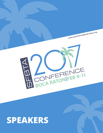

# **SPEAKERS**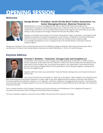# **OPENING SESSION**

### **Welcome**



#### **George Barbar – President, South Florida Bond Traders Association, Inc. Senior Managing Director, Mesirow Financial, Inc.**

George Barbar is a senior managing director and co-head of the Government Agency and Supranational Trading and Underwriting department at Mesirow Financial. He is responsible for the underwriting, distribution and secondary trading of government agency and supranational securities. George is also principal and manager of Mesirow Financial's Boca Raton office.

George is co-founder and president of the South Florida Bond Traders Association, co-president of the National Foundation for Ectodermal Dysplasias, board member of Habitat for Humanity of Broward and First Priority of South Florida, school board chairman at Westminster Academy, elder at Coral Ridge Presbyterian Church, and guest lecturer for Florida Atlantic University's Financial Analyst Program.

George has a Bachelor of Arts in Business/Economics from Wheaton College and Master of Business Administration with a concentration in Finance from Florida Atlantic University. He holds FINRA Series 7, 24, 63, 79, and 99 licenses.

### **Keynote Address**



#### **Thomas S. Ricketts – Chairman, Chicago Cubs and Incapital LLC**

Tom Ricketts is the Chairman of the Chicago Cubs and a lifelong fan of the team. In 2009, he led his family's acquisition of the team from the Tribune Co. When Tom and his family were introduced as the new owners of the Chicago Cubs, he outlined three goals for the organization: win the World Series; preserve and improve Wrigley Field for future generations; and to be good neighbors, giving back to the city and neighborhood.

Together with their sister Laura and brother Todd, the Ricketts siblings serve as the board of directors for the Cubs.

Tom is also the Chairman of Incapital LLC, which he co-founded in 1999. Incapital is an investment bank

with underwriting and distribution expertise in a wide range of securities. Beginning with Incapital's corporate notes platform, Tom led Incapital's diversification initiatives in U.S. Agencies, certificates of deposit, mortgage-backed securities, municipal bonds and structured notes. Incapital's platform has more recently been expanded to include preferred stock offerings, unit investment trusts and annuities.

Tom is a board member of the Chicago Convention and Tourism Bureau, the Field Museum, the Chicagoland Chamber of Commerce, the Executive Club of Chicago and the Wood Family Foundation.

Tom has a bachelor's degree in economics and an MBA in finance from the University of Chicago.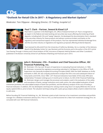**CDs**

### **"Outlook for Retail CDs in 2017 – A Regulatory and Market Update"**

*Moderator: Tom Filippone – Managing Director, CD Trading, Incapital LLC*



#### **Paul T. Clark – Partner, Seward & Kissel LLP**

Paul Clark is a partner in the Washington, DC, office of Seward & Kissel LLP. Paul is recognized as an expert in the federal and state banking and securities law issues affecting the brokering of bank deposits, including both CDs and "sweep" deposits. He developed the documentation that is standard in the securities industry for these products and advises numerous brokers and banks on the regulatory and transactional aspects of the products. Paul has represented individual brokerage firms and the securities industry on legislative and regulatory proposals affecting brokered deposits.

SESSION A

Paul received his AB and JD from the University of California, Berkeley. He is a member of the Advisory Board of the Berkeley Center for Law, Business and the Economy and is the author of the 2013 article

"Just Passing Through: A History and Critical Analysis of FDIC Insurance of Deposits Held by Brokers and Other Custodians", published in the Boston University School of Law Review of Banking and Financial Law in 2013.



#### **John E. Rickmeier, CFA – President and Chief Executive Officer, IDC Financial Publishing, Inc.**

Mr. Rickmeier, CFA, has over 30 years of experience in evaluating financial institutions. In 1984, Mr. Rickmeier converted the regulatory accounting submitted in Call Reports to the Office of Thrift Supervision into Generally Accepted Accounting Principles (GAAP). With the GAAP database on thrifts and banks in 2005, IDC was uniquely positioned to analyze the Ohio crisis and subsequent failure of many banks and thrifts. Since 1989, 1,471 financial institutions have failed. Of this total, 99% were ranked below 75 (lowest ranking) up to 5 months prior to failure. As CEO of IDC Financial Publishing, Mr. Rickmeier designs and manages the processes and analytics used in the evaluation of the safety and soundness of banks, savings institutions and credit unions, the value-added evaluation of bank

investment portfolios, the value-added analysis of bank loan portfolios, and the efficiency analysis of the cost of funding a financial institution. In addition, IDC has developed a technique for valuing a bank using return on equity (ROE) less the cost of equity capital (COE) vs. price to book. The valuation technique along with a peer group analysis allows a bank to determine how to add value.

Before founding IDC Financial Publishing, Inc., Mr. Rickmeier acted as both chairman of an investment committee and portfolio manager for a Midwest investment advisory firm. Prior to 1972, as chief economist for a New York investment strategy firm, he consulted with over 300 financial institutions.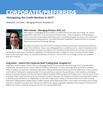# **CORPORATES/PREFERREDS**

### **"Navigating the Credit Markets in 2017"**

*Moderator: Tom Kane – Managing Director, Incapital LLC*



#### **Allen Hassan – Managing Director, BTIG, LLC**

Allen Hassan is a Managing Director at BTIG, LLC within Fixed Income Sales and Trading. Mr. Hassan joined BTIG in April 2011 to launch the firm's Preferred Desk. Under his guidance, BTIG developed a robust new issue and secondary preferred business, successfully bringing new issues to the market and incorporating key trading partners. The preferred product capabilities complement the firm's equities, fixed income and prime brokerage offerings.

Mr. Hassan has spent more than 20 years focusing on fixed income products, specializing in preferred stock. Prior to BTIG, Mr. Hassan was a Managing Director at Jefferies and Co., where he established their Preferred Desk. Previously, he worked on the institutional preferred business and was instrumental in

developing the fixed income distribution capabilities at Prudential Securities. He began his career at Lehman Brothers within Fixed Income Sales and Trading. He received his Bachelors of Science in Finance from Touro College, and has also studied at New York University.

#### **Greg Heher – Head of the Corporate Bond Trading Desk, Incapital LLC**

Greg Heher joined Incapital in March 2016 as a Managing Director. He was recently named the head of the Corporate Bond Trading Desk. Previously he was a senior trader for \$1000 par perpetuals, all 10 year and longer Bank and Finance, and Bank CDOs. In addition, he assists the institutional sales effort, helping identify opportunities and provide added focus to the Corporate and Preferred Trading team. Greg has worked in the bank and finance areas for the past 30 years, most recently as a Managing Director at Amherst Pierpont Securities and Head of Hybrid, Perpetual, PFD'S and Bank CDO Trading. Prior to that, he was a Partner at Sandler O'Neill in the Fixed Income Group. Previously, he was an Executive Vice President and Head of Corporate Bond Trading at Keefe Bruyette and Woods, Inc. Additionally, he was head of High Grade Trading at The Bank of New York as well as having held senior trading positions at Bear Stearns, Kidder Peabody and Prudential Securities. He also spent time holding senior trading positions in London for two years and Tokyo for six months at Pru-Bache. Greg holds a Bachelor of Arts degree in Economics and English from Denison University and graduated from The Lawrenceville School.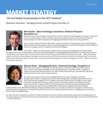# **MARKET STRATEGY**

### **"US and Global Uncertainties in the 2017 Outlook"**

*Moderator: Dave Bove – Managing Director, Amherst Pierpont Securities LLC*



#### **Bob Sinche – Macro Strategy Consultant, Amherst Pierpont Securities LLC**

Bob Sinche is a macro strategy consultant with Amherst Pierpont analyzing global economies and financial and commodity markets. He has extensive experience in global economic, investment and financial market analysis, and direct experience managing global fixed income and currency portfolios.

Prior to joining Amherst Pierpont, Bob held a variety of positions including Global Head of FX Strategy at RBS Securities, Chief Strategist at Lily Pond Capital Management and Head of Strategy for GRCC at Bank of America, managing a team of 24 global economists/strategists.

From 1985 - 1998 he was the director of global fixed income asset management at Alliance Capital

Management, Prudential Investments and Simms Capital Management, managing global bond portfolios for institutional investors, Central Banks and mutual funds. Previously, Bob was Chief Economist at Bear Stearns & Company from 1981 - 1985 and financial market economist at Paine Webber. He appears as an economics and financial market commentator on Bloomberg TV and radio, CNBC and Fox Business News. He holds a BA in Economics (Phi Beta Kappa) from Hamilton College and a Ph.D. – ABD in economics from Brown University.



#### **Sharon Stark – Managing Director, Financial Strategy, Incapital LLC**

With more than 30 years of financial services experience in both the public and private sectors, Sharon Stark brings deep knowledge and broad perspectives to Incapital's clients. In addition to regular economic and market outlooks, she offers timely investment and asset allocation ideas that are finely tuned to each client's unique situation.

Ms. Stark's past roles include business strategy development, bank regulation and policy development, portfolio management and securities trading. Before joining Incapital, she served as Chief Fixed Income Strategist at D.A. Davidson and Head of Fixed Income Strategy at Sterne Agee. From 2007 through 2009, she was a Senior Economic and Policy Advisor to the Deputy Director and COO of the U.S. Treasury's Office of Thrift Supervision. Her technical expertise helped guide policies during the financial crisis of 2008-2009, including the Troubled Asset Relief Program

(TARP) and the Home Affordable Modification Program (HAMP). Before that, she was Chief Market Strategist for fixed income capital markets at Legg Mason, and spent five years with the FDIC as a Deputy Assistant Director, managing policy and training for the Office of Capital Markets

Ms. Stark has been frequently quoted by The Wall Street Journal, Barron's, Reuters and industry publications and appeared on TV and radio programs to provide commentary and perspective. A finance graduate of George Washington University, she holds Series 7, 16 and 24 licenses.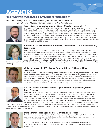# **AGENCIES**

### **"Make Agencies Great Again #2017gsesuprastrategies"**

*Moderators: George Barbar* **–** *Senior Managing Director, Mesirow Financial, Inc. Patrick Leary* **–** *Managing Director, Head of Trading, Incapital LLC*



#### **Patrick Leary – Managing Director, Head of Trading, Incapital LLC**

Since joining Incapital in 2007, Patrick Leary has worked to make the firm's Government Agencies trading desk the most active on the street and assumed responsibility for all fixed income trading operations. Mr. Leary has experience trading a broad range of fixed income instruments, including U.S. Treasuries, U.S. Government Agencies, mortgage-backed securities, and corporate and municipal bonds. Previously, he worked on trading desks at R. Seelaus & Co., Primevest Financial and Bremer Financial Corp. Mr. Leary is co-founder and vice president of the South Florida Bond Traders Association. He attended the University of Montana and St. Cloud State University, earning a bachelor's degree in finance and economics. He holds FINRA Series 7, 24 and 63 licenses.



#### **Susan Bilotta – Vice President of Finance, Federal Farm Credit Banks Funding Corporation**

Susan Bilotta is the Vice President of Finance for The Federal Farm Credit Banks Funding Corporation. Since 1985, Ms. Bilotta has managed various areas within the Finance Department including cultivating new avenues of funding for a \$250 billion cooperative lending institution. Ms. Bilotta coordinates with the Investor Relations department by speaking at conferences and meeting with investors to ensure that the Farm Credit System continues to meet its mission to provide sound and dependable credit to American farmers. Ms. Bilotta is primarily responsible for debt funding programs, coordinating derivative and Farm

Credit System activities. Ms. Bilotta holds a BS degree in Biology from the University of Richmond, and an MBA in Finance from Pace University.



#### **W. David Hanson III, CFA – Senior Funding Officer, FHLBanks Office of Finance**

W. David Hanson, CFA is a Senior Funding Officer at the Office of Finance, the joint office of the FHLBanks established to facilitate the issuance and servicing of FHLBank Consolidated Obligations. In addition to fifteen years of experience in capital markets at the OF, David has also worked in audit and compliance roles both at the OF and at his previous firm. Since 2014, David has focused on floating rate note and bullet issuance, however, in January David joined the callable debt issuance team. He has been a CFA Charterholder since 2006 and holds a B.S. in Finance from Virginia Tech University.



#### **Aki Jain – Senior Financial Officer, Capital Markets Department, World Bank Treasury**

Akinchan (Aki) Jain is a Senior Financial Officer in the Derivatives and Structured Funding team at the World Bank Treasury. In this role, Aki works on structured bond issuances by the World Bank (IBRD), from callable bonds to more customized structures linked to rates, equities, and commodities. With over 15 years of experience in banking and capital markets, Aki is also responsible for designing and structuring innovative capital markets solutions to meet the needs of the World Bank's client countries. His areas of interest include Social Impact Bonds, Climate Finance, Insurance-linked Securities, and Islamic

Finance. Prior to the World Bank, Aki had short stints in retail banking working for Bank of America and Citigroup in India. Aki holds a bachelor's degree in economics from Shri Ram College of Commerce in Delhi University and an MBA in Finance & Information Technology from American University.



#### **Mike Schmid – Manager, Capital Markets, Farmer Mac**

Mike Schmid is the Manager - Capital Markets at Farmer Mac. His responsibilities include running the debt funding program along with derivative execution, hedging, liquidity management, asset pricing and institutional wholesale lending programs.

Prior to joining Farmer Mac in 2010, Mike worked in consulting with a focus on MBS modeling. Mike received his MBA from Georgetown University and his BS in Finance & Management from Virginia Tech.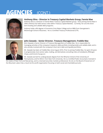# **AGENCIES** (CONT.)



#### **Anthony Silva – Director in Treasury Capital Markets Group, Fannie Mae**

Anthony Silva is a Director in Fannie Mae's Treasury Capital Markets group. Since joining Fannie Mae in 2004, Anthony has held various roles within Treasury Capital Markets. Currently, he runs the shortterm funding and callable debt programs.

Anthony holds a BA degree in Economics from Bates College and an MBA from Georgetown's McDonough School of Business. He is a Certified Treasury Professional (CTP).



#### **John Zawada – Senior Director, Treasury Management, Freddie Mac**

John Zawada is Senior Director of Treasury Management at Freddie Mac. He is responsible for managing activities of the company's long-term debt portfolio including bullet and callable debt, and is also actively involved with the company's short-term debt and liquidity portfolios.

Mr. Zawada has been at Freddie Mac since August 2016. Prior to joining Freddie Mac, he spent 20 years in progressively more senior sales, trading, and derivatives-consulting roles at Scotiabank, JPMorgan Chase, and Ernst & Young LLC.

Mr. Zawada earned his undergraduate degree from the Wharton School of the University of Pennsylvania, and his M.B.A. from New York University. He is a Certified Public Accountant, licensed in

the states of New York and New Jersey, and is a licensed securities markets professional. He sits on the Board of Governors of the Mountain Lakes Club, a local not-for-profit organization focusing on both social and charitable pursuits.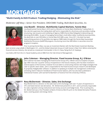# **MORTGAGES**

### **"Multi-Family & DUS Product: Trading/Hedging - Eliminating the Risk"**

*Moderator: Jeff Macy* **–** *Senior Vice President, CMO/CMBS Trading, Multi-Bank Securities, Inc.*



#### **Lisa Bozelli – Director, Multifamily Capital Markets, Fannie Mae**

Lisa Bozelli joined Fannie Mae in 2010 and is a director on Fannie Mae's Multifamily Trading Desk. In this role she supervises the trading desk staff and is responsible for all primary and secondary trading, structuring, new issuance and marketing of Agency CMBS (Fannie Mae Delegated Underwriting and Servicing (DUS) MBS). As part of managing Fannie Mae's multi-billion dollar multifamily bond portfolio, the desk bids on over \$50 billion in Fannie Mae DUS MBS a year. Since 2011, the desk has been resecuritizing portions of its portfolio into Agency CMBS deals through the Fannie Mae Guaranteed Multifamily Structures (GeMSTM) program, structuring more than \$60 billion in securities since the program's inception.

SESSION B

Prior to joining Fannie Mae, Lisa was an Investment Banker with the Real Estate Investment Banking team at Jones Lang LaSalle in Washington, D.C., and the Global Industrials Group at Credit Suisse in New York. Before entering the financial services industry, she served as a Lieutenant Commander in the U.S. Navy, flying the E-2C Hawkeye.

Lisa holds a BS from the U.S. Naval Academy and an MBA from the Yale School of Management.



#### **John Coleman – Managing Director, Fixed Income Group, R.J. O'Brien**

John Coleman has been managing the Fixed Income Group of R.J. O'Brien since its inception 20 years ago. With now over a quarter century of experience in the futures industry, John has been involved in several aspects of the business, however his true talent is constructing interest rate hedge strategies that cater to specific client needs. John is responsible for the Fixed Income Group's research and developed its propriety Hedgebuilder software. In addition to speaking at multiple risk management conferences and being cited in Fabozzi's Handbook of Fixed Income Options, John has also been published in Institutional Investor. John earned his Bachelor's of Science from the University of Illinois.



#### **Rory McDermott – Director, Sales, Eris Exchange**

Rory McDermott is a director on the sales team at Eris Exchange, with over 15 years of experience in OTC and listed interest rate derivatives. Mr. McDermott joined Eris in 2011, and is primarily responsible for sales origination among institutional real money accounts and hedge funds. Prior to joining Eris, Mr. McDermott was a Vice President at Bank of America Merrill Lynch on the Global Derivative Products team, covering power and energy clients.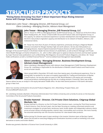# **STRUCTURED PRODUCTS**

#### **"Rising Rates Stressing You Out? 4 Most Important Ways Rising Interest Rates will Change Your Business"**

*Moderators: John Tessar* **–** *Managing Director, JVB Financial Group, LLC Glenn Lotenberg* **–** *Managing Director, Advisors Asset Management*



#### **John Tessar – Managing Director, JVB Financial Group, LLC**

John G. Tessar III, CFP® is a Managing Director at JVB Financial Group, LLC. Based out of the firm's Boca Raton headquarters, Mr. Tessar is head of JVB's Structured Products Sales and Origination Group. In this capacity, he utilizes his extensive experience in product development and management to expand the firm's new product origination capacity and distribution to its network of Dealers, Advisors, and Institutional clients.

Mr. Tessar has more than 20 years of industry experience, previously serving as a Regional Wealth Advisory Consultant for Morgan Stanley's high net worth advisors. He has also held positions as Managing Director, Head of Hybrid Investment Products Division at ICAP Corporates LLC, Product

Manager of Structured Products in the Broker Dealer Services Division of LaSalle Bank, as well as Branch Manager and Private Client Wealth Manager at Charles Schwab & Co., Inc. John is often called upon to speak at industry functions and has been quoted by major financial news publications such as Bloomberg, Risk Magazine, Structured Products Magazine, and others. Mr. Tessar holds certifications as both a Certified Financial Planner™ and Accredited Asset Management Specialist(SM).



#### **Glenn Lotenberg – Managing Director, Business Development Group, Advisors Asset Management**

Glenn Lotenberg is Managing Director with Advisors Asset Management ("AAM") Business Development Group. Mr. Lotenberg is responsible for the distribution of Market Linked Products and Fixed Income across all asset classes.

Glenn joined AAM in December 2016 with more than twenty years of professional experience. Prior to joining AAM, he worked for ten years at Incapital responsible for Trading and Distribution of Market Linked Products. He has also spent six years at CIBC World Markets in the equity and commodity structured products marketing group and also as a trading assistant. Previously, Glenn was at Bear

Stearns where he was an analyst in the equity derivative middle office. He also held several positions in the bank's derivative group in New York.

Glenn has recently contributed to Structured Products Magazine, mtn-i, Bloomberg, Prospect News, and StructuredRetailProducts.com.

Mr. Lotenberg received a Bachelor of Business Administration from Hofstra University and currently he serves on the Executive Committee of the Structured Products Association.



#### **Brooke Hammel – Director, Citi Private Client Solutions, Citigroup Global Markets, Inc.**

Brooke Hammel is a Director on the Citi Private Client Solutions team, running the Third Party business in North America. Over the last 6 years, she has been focusing on creating customized solutions and investment strategies for private bank, wirehouse, bank, broker-dealer and independent advisory clients across all asset classes including equities, interest rates, commodities and currencies. She more recently has assumed ownership over the insurance business for rules-based index products.

Before joining Citi, Brooke spent 4 years working in the Investor Solutions team at Barclays Capital, where she focused on executing hedging and monetization business as well as marketing cross asset

derivatives to banks and broker-dealers.

Brooke was granted a Bachelor of Science from Cornell University in 2004.